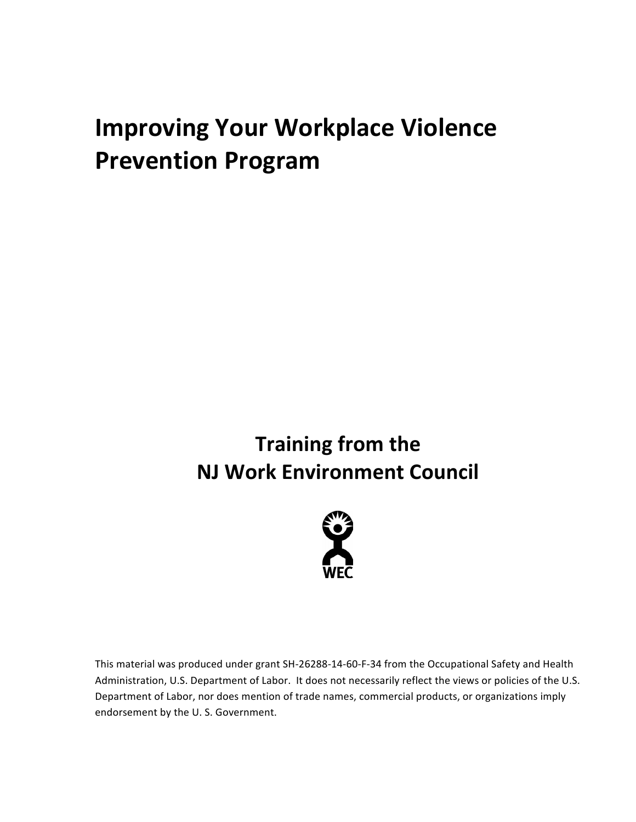# **Improving Your Workplace Violence Prevention Program**

# **Training from the NJ Work Environment Council**



This material was produced under grant SH-26288-14-60-F-34 from the Occupational Safety and Health Administration, U.S. Department of Labor. It does not necessarily reflect the views or policies of the U.S. Department of Labor, nor does mention of trade names, commercial products, or organizations imply endorsement by the U.S. Government.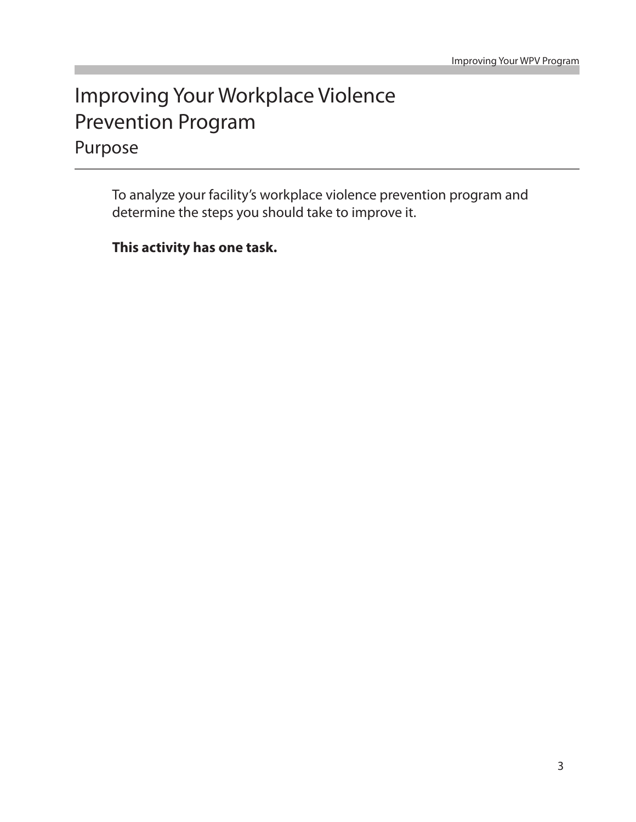# Purpose Improving Your Workplace Violence Prevention Program

To analyze your facility's workplace violence prevention program and determine the steps you should take to improve it.

**This activity has one task.**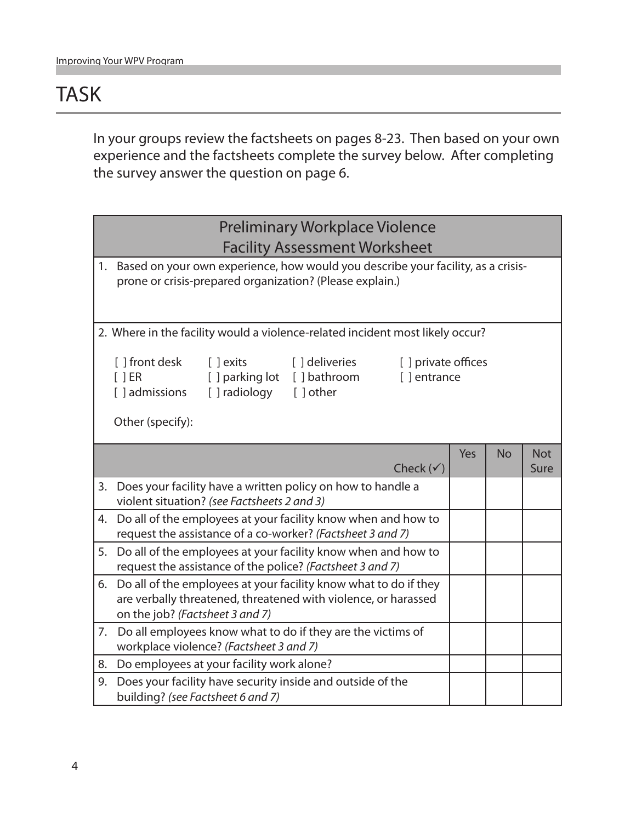### TASK

In your groups review the factsheets on pages 8-23. Then based on your own experience and the factsheets complete the survey below. After completing the survey answer the question on page 6.

|    | <b>Preliminary Workplace Violence</b>                                                                                                                                                                    |     |           |                    |
|----|----------------------------------------------------------------------------------------------------------------------------------------------------------------------------------------------------------|-----|-----------|--------------------|
|    | <b>Facility Assessment Worksheet</b>                                                                                                                                                                     |     |           |                    |
| 1. | Based on your own experience, how would you describe your facility, as a crisis-<br>prone or crisis-prepared organization? (Please explain.)                                                             |     |           |                    |
|    | 2. Where in the facility would a violence-related incident most likely occur?                                                                                                                            |     |           |                    |
|    | [ ] front desk<br>[ ] deliveries<br>$\lceil$ $\rfloor$ exits<br>[ ] private offices<br>[] parking lot [] bathroom<br>[ ]ER<br>[] entrance<br>[ ] admissions<br>[] radiology [] other<br>Other (specify): |     |           |                    |
|    | Check $(\checkmark)$                                                                                                                                                                                     | Yes | <b>No</b> | <b>Not</b><br>Sure |
| 3. | Does your facility have a written policy on how to handle a<br>violent situation? (see Factsheets 2 and 3)                                                                                               |     |           |                    |
| 4. | Do all of the employees at your facility know when and how to<br>request the assistance of a co-worker? (Factsheet 3 and 7)                                                                              |     |           |                    |
| 5. | Do all of the employees at your facility know when and how to<br>request the assistance of the police? (Factsheet 3 and 7)                                                                               |     |           |                    |
|    | 6. Do all of the employees at your facility know what to do if they<br>are verbally threatened, threatened with violence, or harassed<br>on the job? (Factsheet 3 and 7)                                 |     |           |                    |
| 7. | Do all employees know what to do if they are the victims of<br>workplace violence? (Factsheet 3 and 7)                                                                                                   |     |           |                    |
| 8. | Do employees at your facility work alone?                                                                                                                                                                |     |           |                    |
| 9. | Does your facility have security inside and outside of the<br>building? (see Factsheet 6 and 7)                                                                                                          |     |           |                    |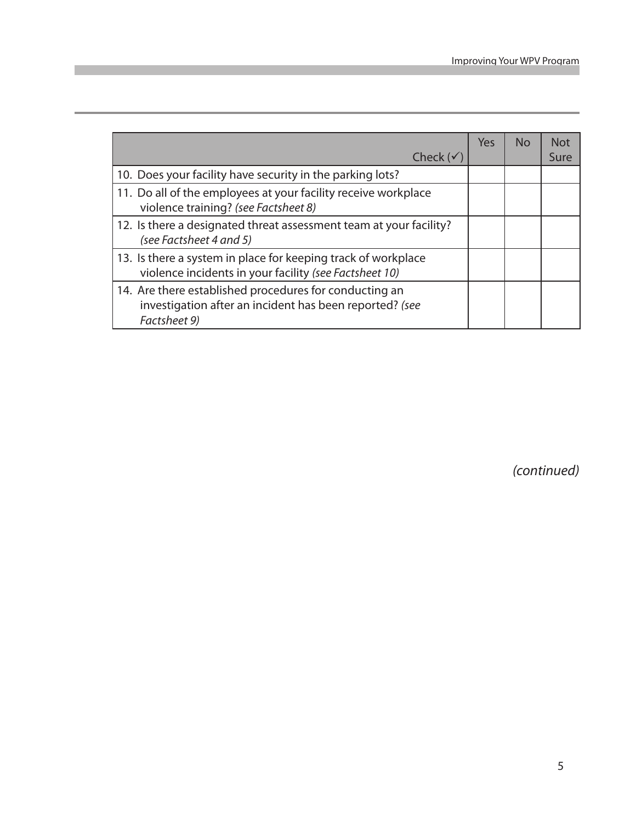| Check ( $\checkmark$                                                                                                              | Yes | N <sub>O</sub> | <b>Not</b><br>Sure |
|-----------------------------------------------------------------------------------------------------------------------------------|-----|----------------|--------------------|
| 10. Does your facility have security in the parking lots?                                                                         |     |                |                    |
| 11. Do all of the employees at your facility receive workplace<br>violence training? (see Factsheet 8)                            |     |                |                    |
| 12. Is there a designated threat assessment team at your facility?<br>(see Factsheet 4 and 5)                                     |     |                |                    |
| 13. Is there a system in place for keeping track of workplace<br>violence incidents in your facility (see Factsheet 10)           |     |                |                    |
| 14. Are there established procedures for conducting an<br>investigation after an incident has been reported? (see<br>Factsheet 9) |     |                |                    |

*(continued)*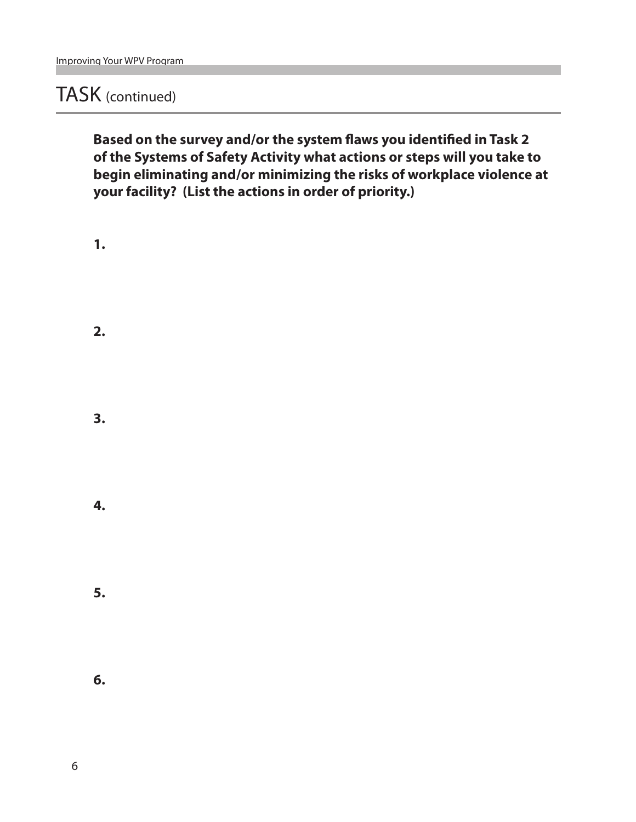### TASK (continued)

**Based on the survey and/or the system flaws you identified in Task 2 of the Systems of Safety Activity what actions or steps will you take to begin eliminating and/or minimizing the risks of workplace violence at your facility? (List the actions in order of priority.)**

**1. 2. 3. 4. 5. 6.**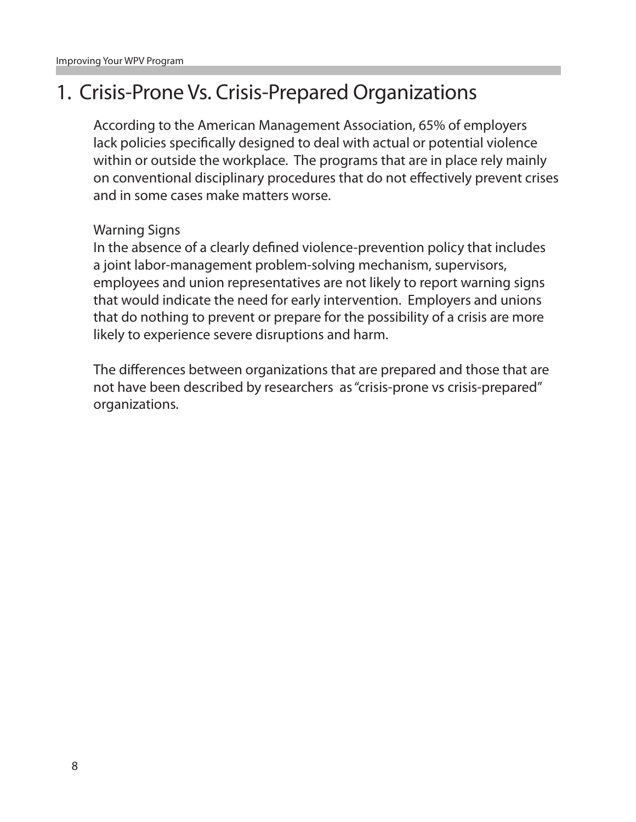### 1. Crisis-Prone Vs. Crisis-Prepared Organizations

According to the American Management Association, 65% of employers lack policies specifically designed to deal with actual or potential violence within or outside the workplace. The programs that are in place rely mainly on conventional disciplinary procedures that do not effectively prevent crises and in some cases make matters worse.

#### Warning Signs

In the absence of a clearly defined violence-prevention policy that includes a joint labor-management problem-solving mechanism, supervisors, employees and union representatives are not likely to report warning signs that would indicate the need for early intervention. Employers and unions that do nothing to prevent or prepare for the possibility of a crisis are more likely to experience severe disruptions and harm.

The differences between organizations that are prepared and those that are not have been described by researchers as "crisis-prone vs crisis-prepared" organizations.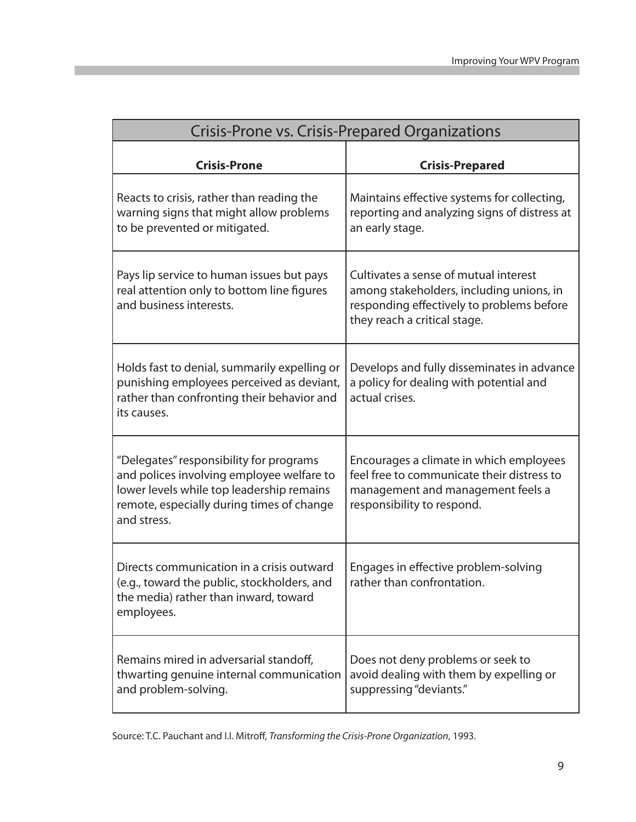| Crisis-Prone vs. Crisis-Prepared Organizations                                                                                                                                                |                                                                                                                                                                |  |  |  |
|-----------------------------------------------------------------------------------------------------------------------------------------------------------------------------------------------|----------------------------------------------------------------------------------------------------------------------------------------------------------------|--|--|--|
| <b>Crisis-Prone</b>                                                                                                                                                                           | <b>Crisis-Prepared</b>                                                                                                                                         |  |  |  |
| Reacts to crisis, rather than reading the<br>warning signs that might allow problems<br>to be prevented or mitigated.                                                                         | Maintains effective systems for collecting,<br>reporting and analyzing signs of distress at<br>an early stage.                                                 |  |  |  |
| Pays lip service to human issues but pays<br>real attention only to bottom line figures<br>and business interests.                                                                            | Cultivates a sense of mutual interest<br>among stakeholders, including unions, in<br>responding effectively to problems before<br>they reach a critical stage. |  |  |  |
| Holds fast to denial, summarily expelling or<br>punishing employees perceived as deviant,<br>rather than confronting their behavior and<br>its causes.                                        | Develops and fully disseminates in advance<br>a policy for dealing with potential and<br>actual crises.                                                        |  |  |  |
| "Delegates" responsibility for programs<br>and polices involving employee welfare to<br>lower levels while top leadership remains<br>remote, especially during times of change<br>and stress. | Encourages a climate in which employees<br>feel free to communicate their distress to<br>management and management feels a<br>responsibility to respond.       |  |  |  |
| Directs communication in a crisis outward<br>(e.g., toward the public, stockholders, and<br>the media) rather than inward, toward<br>employees.                                               | Engages in effective problem-solving<br>rather than confrontation.                                                                                             |  |  |  |
| Remains mired in adversarial standoff,<br>thwarting genuine internal communication<br>and problem-solving.                                                                                    | Does not deny problems or seek to<br>avoid dealing with them by expelling or<br>suppressing "deviants."                                                        |  |  |  |

Source: T.C. Pauchant and I.I. Mitroff, *Transforming the Crisis-Prone Organization*, 1993.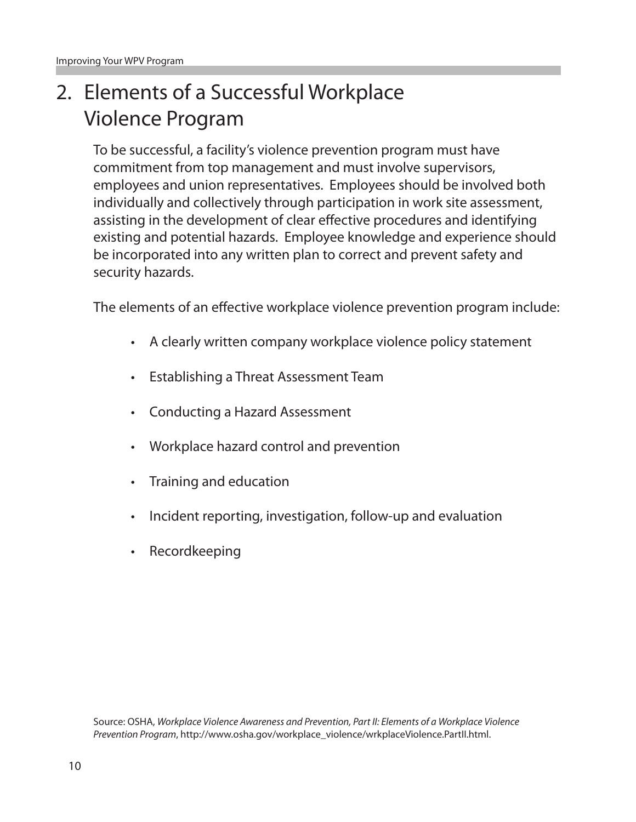# 2. Elements of a Successful Workplace Violence Program

To be successful, a facility's violence prevention program must have commitment from top management and must involve supervisors, employees and union representatives. Employees should be involved both individually and collectively through participation in work site assessment, assisting in the development of clear effective procedures and identifying existing and potential hazards. Employee knowledge and experience should be incorporated into any written plan to correct and prevent safety and security hazards.

The elements of an effective workplace violence prevention program include:

- • A clearly written company workplace violence policy statement
- • Establishing a Threat Assessment Team
- • Conducting a Hazard Assessment
- • Workplace hazard control and prevention
- Training and education
- Incident reporting, investigation, follow-up and evaluation
- **Recordkeeping**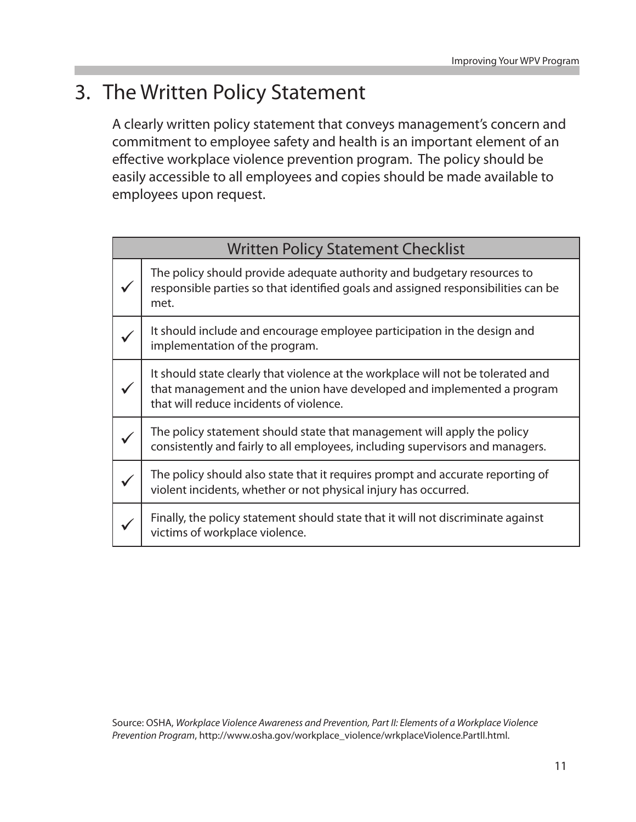### 3. The Written Policy Statement

A clearly written policy statement that conveys management's concern and commitment to employee safety and health is an important element of an effective workplace violence prevention program. The policy should be easily accessible to all employees and copies should be made available to employees upon request.

| <b>Written Policy Statement Checklist</b> |                                                                                                                                                                                                       |  |
|-------------------------------------------|-------------------------------------------------------------------------------------------------------------------------------------------------------------------------------------------------------|--|
|                                           | The policy should provide adequate authority and budgetary resources to<br>responsible parties so that identified goals and assigned responsibilities can be<br>met.                                  |  |
|                                           | It should include and encourage employee participation in the design and<br>implementation of the program.                                                                                            |  |
|                                           | It should state clearly that violence at the workplace will not be tolerated and<br>that management and the union have developed and implemented a program<br>that will reduce incidents of violence. |  |
|                                           | The policy statement should state that management will apply the policy<br>consistently and fairly to all employees, including supervisors and managers.                                              |  |
|                                           | The policy should also state that it requires prompt and accurate reporting of<br>violent incidents, whether or not physical injury has occurred.                                                     |  |
|                                           | Finally, the policy statement should state that it will not discriminate against<br>victims of workplace violence.                                                                                    |  |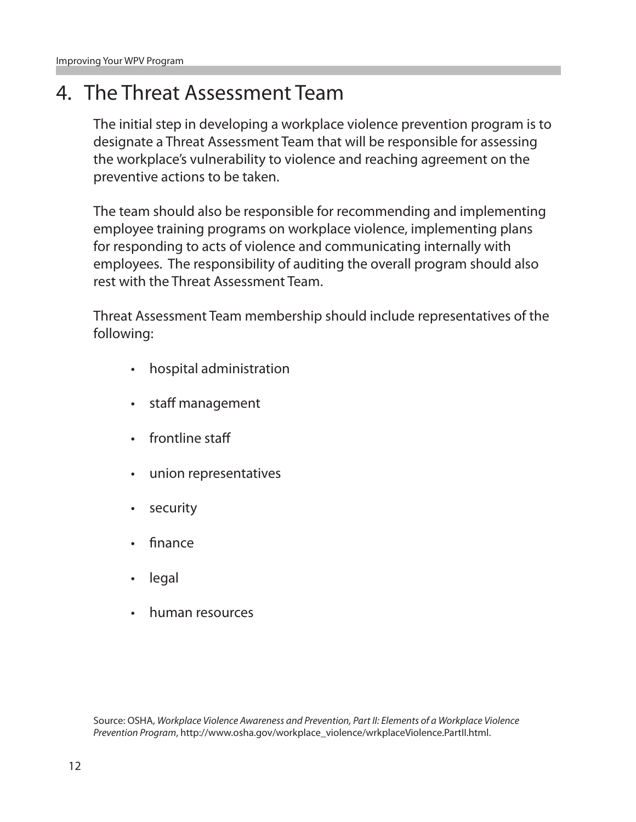### 4. The Threat Assessment Team

The initial step in developing a workplace violence prevention program is to designate a Threat Assessment Team that will be responsible for assessing the workplace's vulnerability to violence and reaching agreement on the preventive actions to be taken.

The team should also be responsible for recommending and implementing employee training programs on workplace violence, implementing plans for responding to acts of violence and communicating internally with employees. The responsibility of auditing the overall program should also rest with the Threat Assessment Team.

Threat Assessment Team membership should include representatives of the following:

- • hospital administration
- • staff management
- frontline staff
- union representatives
- • security
- finance
- legal
- • human resources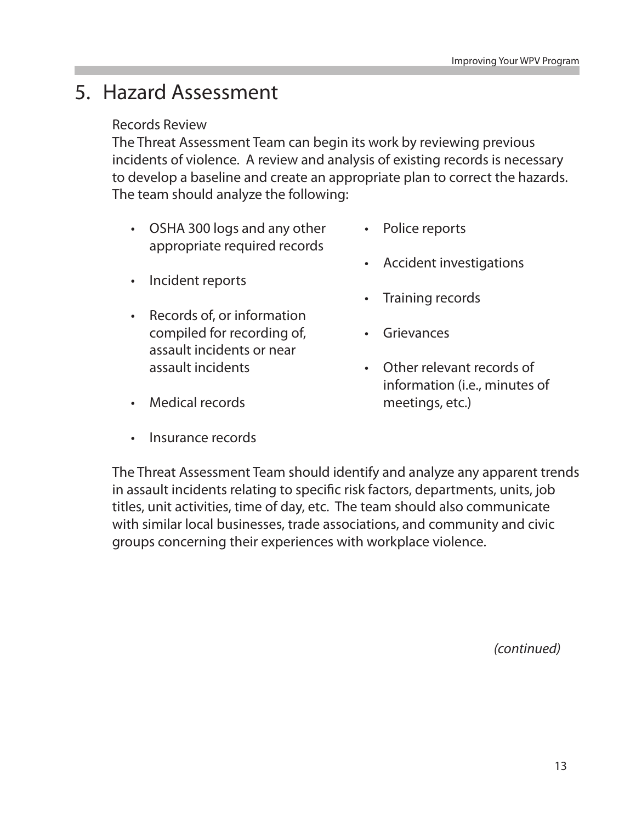### 5. Hazard Assessment

#### Records Review

The Threat Assessment Team can begin its work by reviewing previous incidents of violence. A review and analysis of existing records is necessary to develop a baseline and create an appropriate plan to correct the hazards. The team should analyze the following:

- • OSHA 300 logs and any other appropriate required records
- Incident reports
- • Records of, or information compiled for recording of, assault incidents or near assault incidents
- • Medical records
- **Insurance records**
- Police reports
- • Accident investigations
- Training records
- • Grievances
- • Other relevant records of information (i.e., minutes of meetings, etc.)

The Threat Assessment Team should identify and analyze any apparent trends in assault incidents relating to specific risk factors, departments, units, job titles, unit activities, time of day, etc. The team should also communicate with similar local businesses, trade associations, and community and civic groups concerning their experiences with workplace violence.

*(continued)*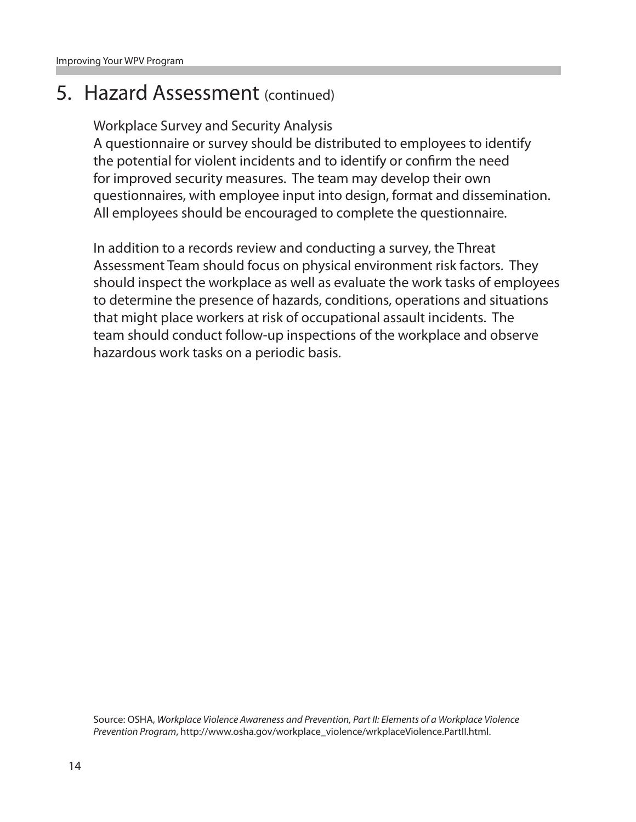### 5. Hazard Assessment (continued)

Workplace Survey and Security Analysis

A questionnaire or survey should be distributed to employees to identify the potential for violent incidents and to identify or confirm the need for improved security measures. The team may develop their own questionnaires, with employee input into design, format and dissemination. All employees should be encouraged to complete the questionnaire.

In addition to a records review and conducting a survey, the Threat Assessment Team should focus on physical environment risk factors. They should inspect the workplace as well as evaluate the work tasks of employees to determine the presence of hazards, conditions, operations and situations that might place workers at risk of occupational assault incidents. The team should conduct follow-up inspections of the workplace and observe hazardous work tasks on a periodic basis.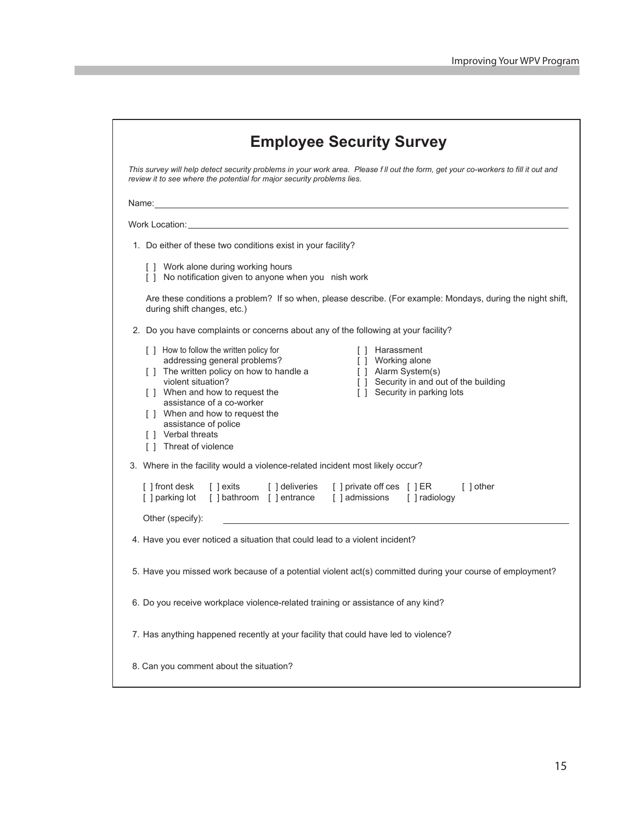| This survey will help detect security problems in your work area. Please fll out the form, get your co-workers to fill it out and<br>review it to see where the potential for major security problems lies.                                                                                                                                                                                                                                                     |
|-----------------------------------------------------------------------------------------------------------------------------------------------------------------------------------------------------------------------------------------------------------------------------------------------------------------------------------------------------------------------------------------------------------------------------------------------------------------|
| Name: Name: Name: Name: Name: Name: Name: Name: Name: Name: Name: Name: Name: Name: Name: Name: Name: Name: Name: Name: Name: Name: Name: Name: Name: Name: Name: Name: Name: Name: Name: Name: Name: Name: Name: Name: Name:                                                                                                                                                                                                                                   |
|                                                                                                                                                                                                                                                                                                                                                                                                                                                                 |
| 1. Do either of these two conditions exist in your facility?                                                                                                                                                                                                                                                                                                                                                                                                    |
| [ ] Work alone during working hours<br>[ ] No notification given to anyone when you nish work                                                                                                                                                                                                                                                                                                                                                                   |
| Are these conditions a problem? If so when, please describe. (For example: Mondays, during the night shift,<br>during shift changes, etc.)                                                                                                                                                                                                                                                                                                                      |
| 2. Do you have complaints or concerns about any of the following at your facility?                                                                                                                                                                                                                                                                                                                                                                              |
| [ ] How to follow the written policy for<br>[ ] Harassment<br>addressing general problems?<br>[ ] Working alone<br>[ ] The written policy on how to handle a<br>[ ] Alarm System(s)<br>violent situation?<br>[ ] Security in and out of the building<br>[ ] When and how to request the<br>[ ] Security in parking lots<br>assistance of a co-worker<br>[ ] When and how to request the<br>assistance of police<br>[ ] Verbal threats<br>[ ] Threat of violence |
| 3. Where in the facility would a violence-related incident most likely occur?                                                                                                                                                                                                                                                                                                                                                                                   |
| [] exits [] deliveries [] private off ces [] ER<br>[ ] front desk<br>[ ] other<br>[] parking lot [] bathroom [] entrance [] admissions [] radiology                                                                                                                                                                                                                                                                                                             |
| Other (specify):<br>4. Have you ever noticed a situation that could lead to a violent incident?                                                                                                                                                                                                                                                                                                                                                                 |
|                                                                                                                                                                                                                                                                                                                                                                                                                                                                 |
| 5. Have you missed work because of a potential violent act(s) committed during your course of employment?                                                                                                                                                                                                                                                                                                                                                       |
| 6. Do you receive workplace violence-related training or assistance of any kind?                                                                                                                                                                                                                                                                                                                                                                                |
| 7. Has anything happened recently at your facility that could have led to violence?                                                                                                                                                                                                                                                                                                                                                                             |
| 8. Can you comment about the situation?                                                                                                                                                                                                                                                                                                                                                                                                                         |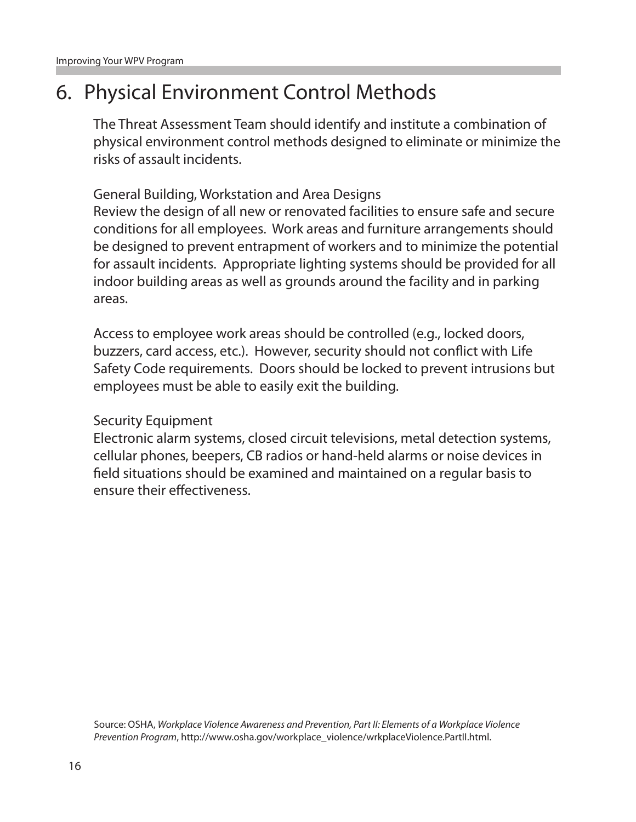### 6. Physical Environment Control Methods

The Threat Assessment Team should identify and institute a combination of physical environment control methods designed to eliminate or minimize the risks of assault incidents.

General Building, Workstation and Area Designs Review the design of all new or renovated facilities to ensure safe and secure conditions for all employees. Work areas and furniture arrangements should be designed to prevent entrapment of workers and to minimize the potential for assault incidents. Appropriate lighting systems should be provided for all indoor building areas as well as grounds around the facility and in parking areas.

Access to employee work areas should be controlled (e.g., locked doors, buzzers, card access, etc.). However, security should not conflict with Life Safety Code requirements. Doors should be locked to prevent intrusions but employees must be able to easily exit the building.

#### Security Equipment

Electronic alarm systems, closed circuit televisions, metal detection systems, cellular phones, beepers, CB radios or hand-held alarms or noise devices in field situations should be examined and maintained on a regular basis to ensure their effectiveness.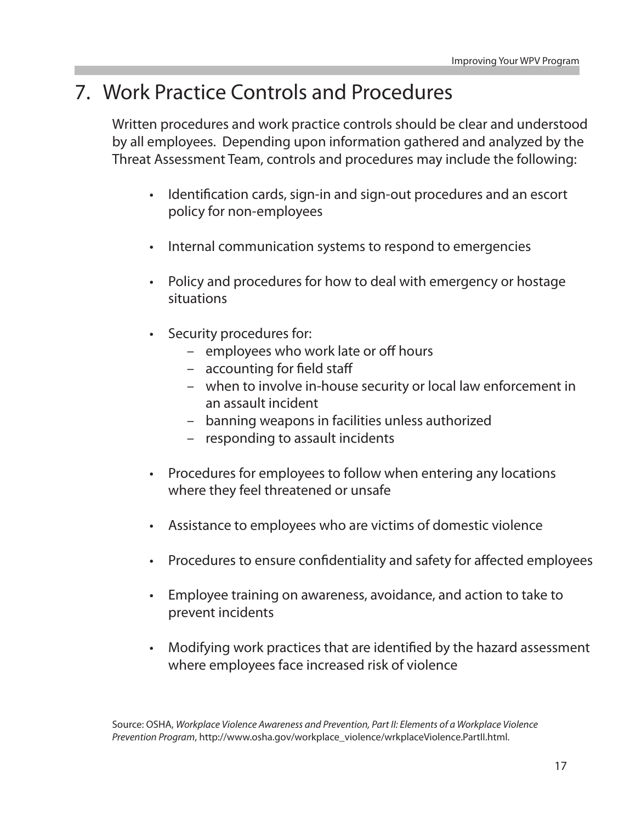### 7. Work Practice Controls and Procedures

Written procedures and work practice controls should be clear and understood by all employees. Depending upon information gathered and analyzed by the Threat Assessment Team, controls and procedures may include the following:

- Identification cards, sign-in and sign-out procedures and an escort policy for non-employees
- • Internal communication systems to respond to emergencies
- Policy and procedures for how to deal with emergency or hostage situations
- • Security procedures for:
	- employees who work late or off hours
	- accounting for field staff
	- when to involve in-house security or local law enforcement in an assault incident
	- banning weapons in facilities unless authorized
	- responding to assault incidents
- Procedures for employees to follow when entering any locations where they feel threatened or unsafe
- Assistance to employees who are victims of domestic violence
- Procedures to ensure confidentiality and safety for affected employees
- Employee training on awareness, avoidance, and action to take to prevent incidents
- Modifying work practices that are identified by the hazard assessment where employees face increased risk of violence

Source: OSHA, *Workplace Violence Awareness and Prevention, Part II: Elements of a Workplace Violence Prevention Program*, http://www.osha.gov/workplace\_violence/wrkplaceViolence.PartII.html.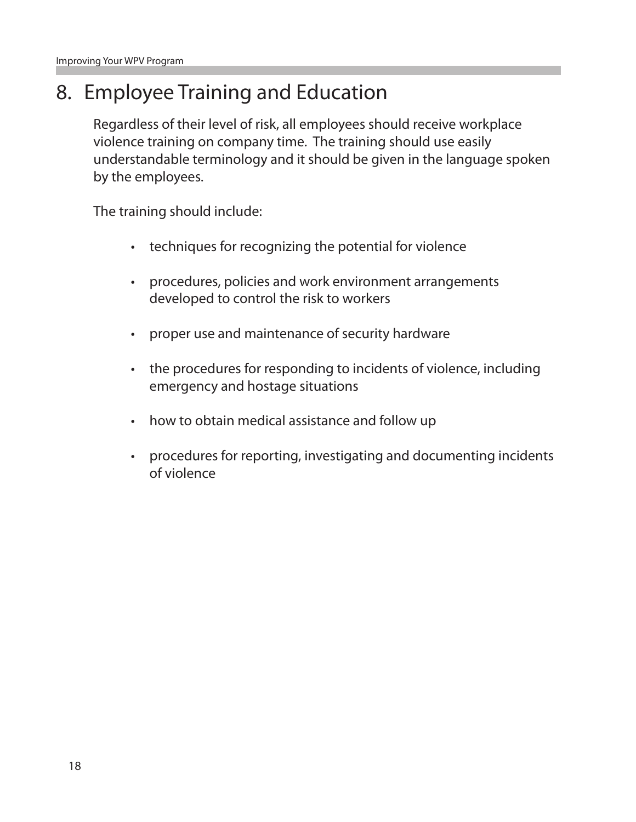### 8. Employee Training and Education

Regardless of their level of risk, all employees should receive workplace violence training on company time. The training should use easily understandable terminology and it should be given in the language spoken by the employees.

The training should include:

- • techniques for recognizing the potential for violence
- • procedures, policies and work environment arrangements developed to control the risk to workers
- • proper use and maintenance of security hardware
- the procedures for responding to incidents of violence, including emergency and hostage situations
- how to obtain medical assistance and follow up
- procedures for reporting, investigating and documenting incidents of violence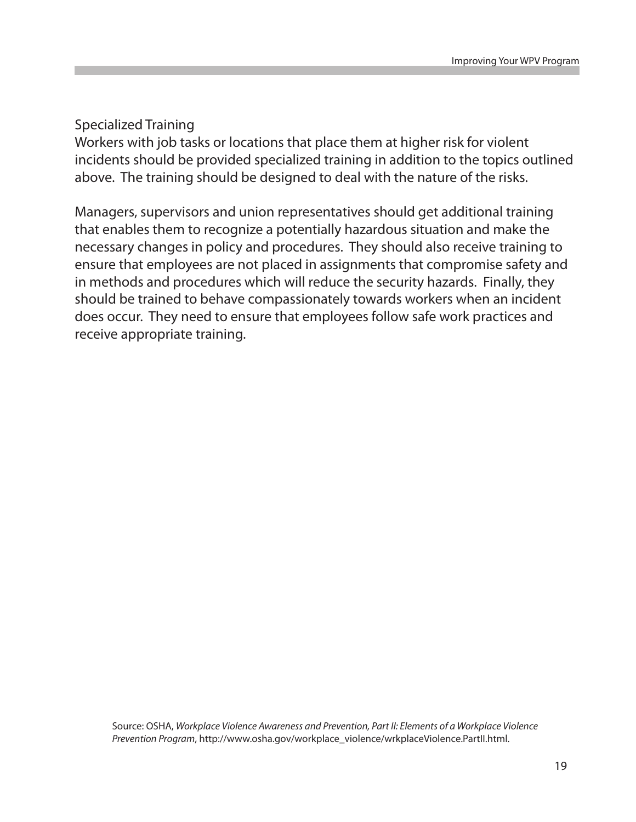#### Specialized Training

Workers with job tasks or locations that place them at higher risk for violent incidents should be provided specialized training in addition to the topics outlined above. The training should be designed to deal with the nature of the risks.

Managers, supervisors and union representatives should get additional training that enables them to recognize a potentially hazardous situation and make the necessary changes in policy and procedures. They should also receive training to ensure that employees are not placed in assignments that compromise safety and in methods and procedures which will reduce the security hazards. Finally, they should be trained to behave compassionately towards workers when an incident does occur. They need to ensure that employees follow safe work practices and receive appropriate training.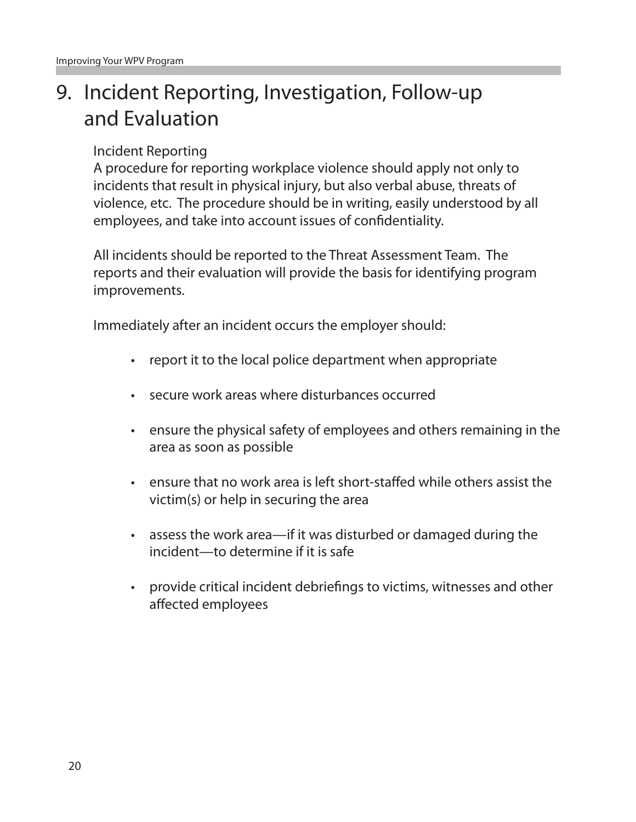# 9. Incident Reporting, Investigation, Follow-up and Evaluation

#### Incident Reporting

A procedure for reporting workplace violence should apply not only to incidents that result in physical injury, but also verbal abuse, threats of violence, etc. The procedure should be in writing, easily understood by all employees, and take into account issues of confidentiality.

All incidents should be reported to the Threat Assessment Team. The reports and their evaluation will provide the basis for identifying program improvements.

Immediately after an incident occurs the employer should:

- report it to the local police department when appropriate
- • secure work areas where disturbances occurred
- • ensure the physical safety of employees and others remaining in the area as soon as possible
- • ensure that no work area is left short-staffed while others assist the victim(s) or help in securing the area
- assess the work area—if it was disturbed or damaged during the incident—to determine if it is safe
- • provide critical incident debriefings to victims, witnesses and other affected employees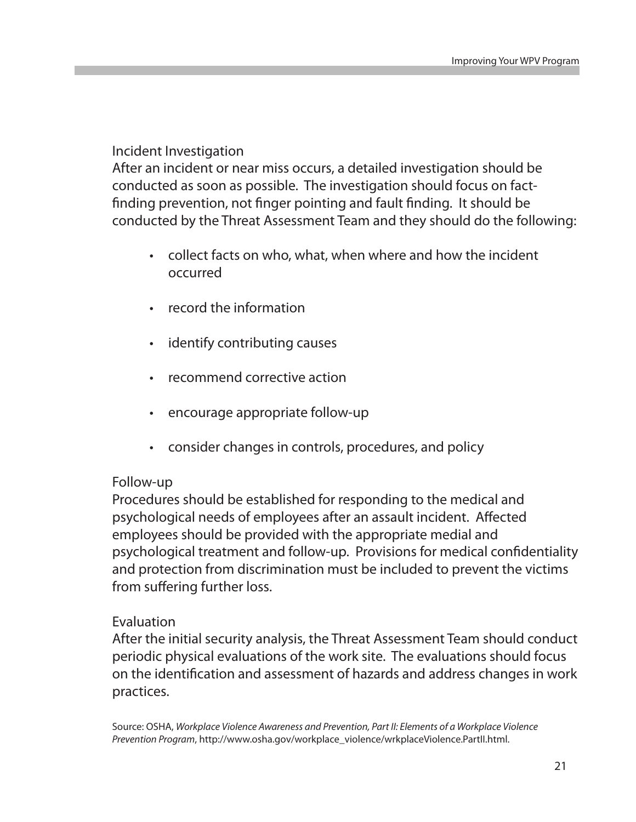#### Incident Investigation

After an incident or near miss occurs, a detailed investigation should be conducted as soon as possible. The investigation should focus on factfinding prevention, not finger pointing and fault finding. It should be conducted by the Threat Assessment Team and they should do the following:

- collect facts on who, what, when where and how the incident occurred
- record the information
- identify contributing causes
- recommend corrective action
- encourage appropriate follow-up
- • consider changes in controls, procedures, and policy

#### Follow-up

Procedures should be established for responding to the medical and psychological needs of employees after an assault incident. Affected employees should be provided with the appropriate medial and psychological treatment and follow-up. Provisions for medical confidentiality and protection from discrimination must be included to prevent the victims from suffering further loss.

#### Evaluation

After the initial security analysis, the Threat Assessment Team should conduct periodic physical evaluations of the work site. The evaluations should focus on the identification and assessment of hazards and address changes in work practices.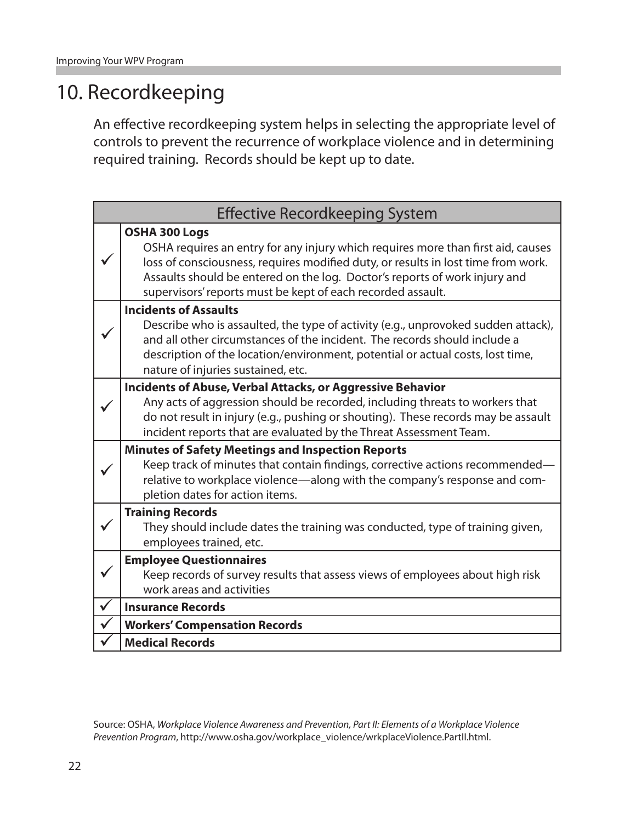### 10. Recordkeeping

An effective recordkeeping system helps in selecting the appropriate level of controls to prevent the recurrence of workplace violence and in determining required training. Records should be kept up to date.

| <b>Effective Recordkeeping System</b> |                                                                                                                                                                                                                                                                                                                                     |  |
|---------------------------------------|-------------------------------------------------------------------------------------------------------------------------------------------------------------------------------------------------------------------------------------------------------------------------------------------------------------------------------------|--|
|                                       | OSHA 300 Logs<br>OSHA requires an entry for any injury which requires more than first aid, causes<br>loss of consciousness, requires modified duty, or results in lost time from work.<br>Assaults should be entered on the log. Doctor's reports of work injury and<br>supervisors' reports must be kept of each recorded assault. |  |
|                                       | <b>Incidents of Assaults</b><br>Describe who is assaulted, the type of activity (e.g., unprovoked sudden attack),<br>and all other circumstances of the incident. The records should include a<br>description of the location/environment, potential or actual costs, lost time,<br>nature of injuries sustained, etc.              |  |
|                                       | <b>Incidents of Abuse, Verbal Attacks, or Aggressive Behavior</b><br>Any acts of aggression should be recorded, including threats to workers that<br>do not result in injury (e.g., pushing or shouting). These records may be assault<br>incident reports that are evaluated by the Threat Assessment Team.                        |  |
|                                       | <b>Minutes of Safety Meetings and Inspection Reports</b><br>Keep track of minutes that contain findings, corrective actions recommended-<br>relative to workplace violence-along with the company's response and com-<br>pletion dates for action items.                                                                            |  |
|                                       | <b>Training Records</b><br>They should include dates the training was conducted, type of training given,<br>employees trained, etc.                                                                                                                                                                                                 |  |
|                                       | <b>Employee Questionnaires</b><br>Keep records of survey results that assess views of employees about high risk<br>work areas and activities                                                                                                                                                                                        |  |
| $\checkmark$                          | <b>Insurance Records</b>                                                                                                                                                                                                                                                                                                            |  |
|                                       | <b>Workers' Compensation Records</b>                                                                                                                                                                                                                                                                                                |  |
|                                       | <b>Medical Records</b>                                                                                                                                                                                                                                                                                                              |  |

Source: OSHA, *Workplace Violence Awareness and Prevention, Part II: Elements of a Workplace Violence Prevention Program*, http://www.osha.gov/workplace\_violence/wrkplaceViolence.PartII.html.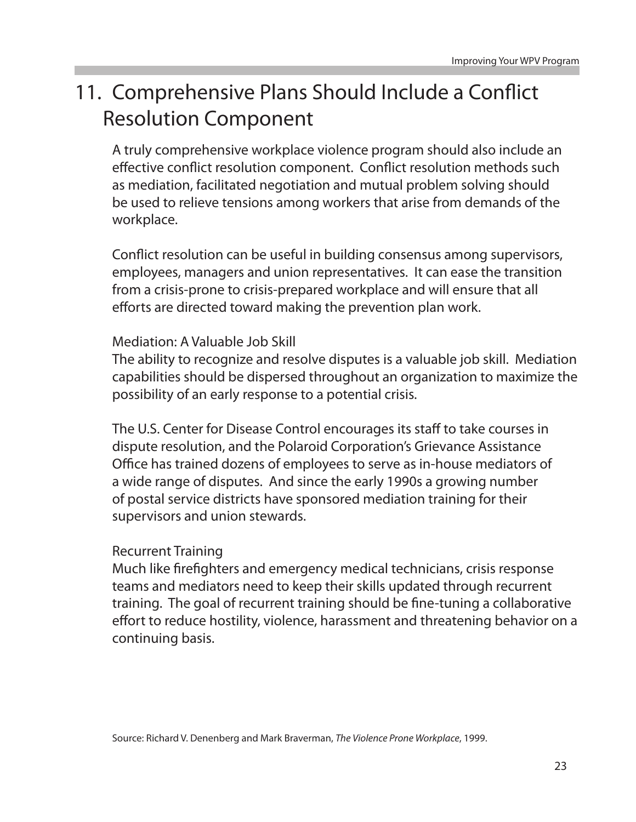# 11. Comprehensive Plans Should Include a Conflict Resolution Component

A truly comprehensive workplace violence program should also include an effective conflict resolution component. Conflict resolution methods such as mediation, facilitated negotiation and mutual problem solving should be used to relieve tensions among workers that arise from demands of the workplace.

Conflict resolution can be useful in building consensus among supervisors, employees, managers and union representatives. It can ease the transition from a crisis-prone to crisis-prepared workplace and will ensure that all efforts are directed toward making the prevention plan work.

#### Mediation: A Valuable Job Skill

The ability to recognize and resolve disputes is a valuable job skill. Mediation capabilities should be dispersed throughout an organization to maximize the possibility of an early response to a potential crisis.

The U.S. Center for Disease Control encourages its staff to take courses in dispute resolution, and the Polaroid Corporation's Grievance Assistance Office has trained dozens of employees to serve as in-house mediators of a wide range of disputes. And since the early 1990s a growing number of postal service districts have sponsored mediation training for their supervisors and union stewards.

#### Recurrent Training

Much like firefighters and emergency medical technicians, crisis response teams and mediators need to keep their skills updated through recurrent training. The goal of recurrent training should be fine-tuning a collaborative effort to reduce hostility, violence, harassment and threatening behavior on a continuing basis.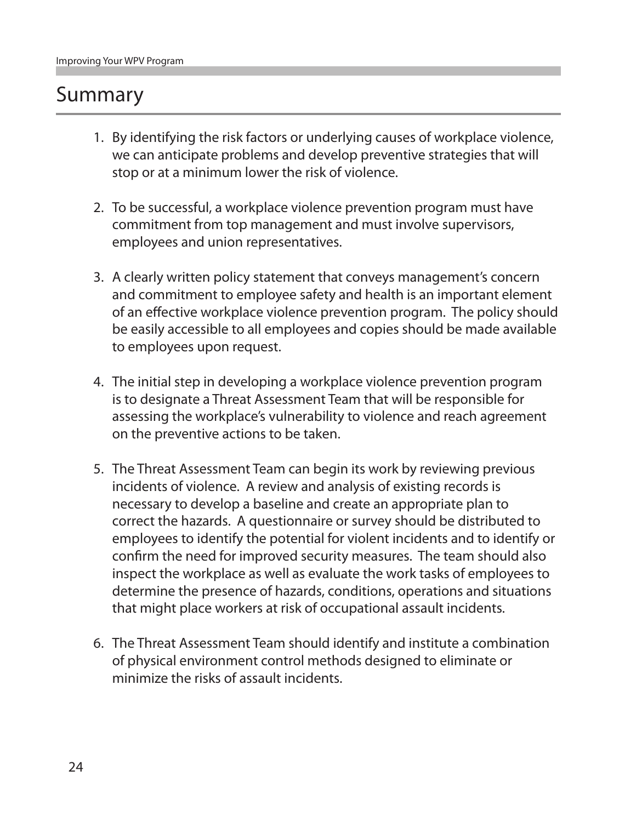### Summary

- 1. By identifying the risk factors or underlying causes of workplace violence, we can anticipate problems and develop preventive strategies that will stop or at a minimum lower the risk of violence.
- 2. To be successful, a workplace violence prevention program must have commitment from top management and must involve supervisors, employees and union representatives.
- 3. A clearly written policy statement that conveys management's concern and commitment to employee safety and health is an important element of an effective workplace violence prevention program. The policy should be easily accessible to all employees and copies should be made available to employees upon request.
- 4. The initial step in developing a workplace violence prevention program is to designate a Threat Assessment Team that will be responsible for assessing the workplace's vulnerability to violence and reach agreement on the preventive actions to be taken.
- 5. The Threat Assessment Team can begin its work by reviewing previous incidents of violence. A review and analysis of existing records is necessary to develop a baseline and create an appropriate plan to correct the hazards. A questionnaire or survey should be distributed to employees to identify the potential for violent incidents and to identify or confirm the need for improved security measures. The team should also inspect the workplace as well as evaluate the work tasks of employees to determine the presence of hazards, conditions, operations and situations that might place workers at risk of occupational assault incidents.
- 6. The Threat Assessment Team should identify and institute a combination of physical environment control methods designed to eliminate or minimize the risks of assault incidents.